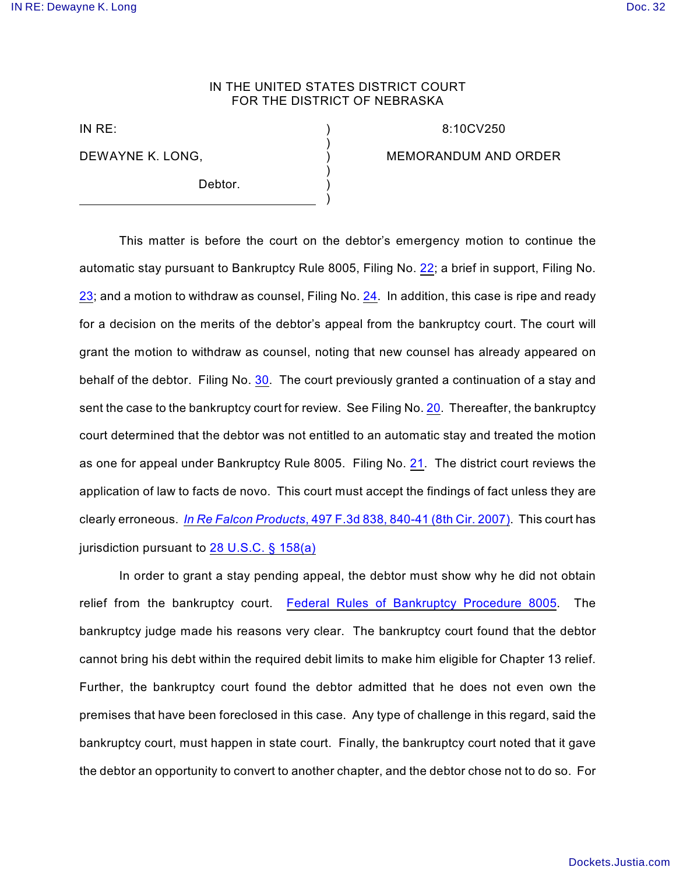## IN THE UNITED STATES DISTRICT COURT FOR THE DISTRICT OF NEBRASKA

) ) ) ) ) )

IN RE:

DEWAYNE K. LONG,

Debtor.

8:10CV250

MEMORANDUM AND ORDER

This matter is before the court on the debtor's emergency motion to continue the automatic stay pursuant to Bankruptcy Rule 8005, Filing No. [22](http://ecf.ned.uscourts.gov/doc1/11302090009); a brief in support, Filing No. [23](http://ecf.ned.uscourts.gov/doc1/11302090012); and a motion to withdraw as counsel, Filing No. [24](http://ecf.ned.uscourts.gov/doc1/11302090052). In addition, this case is ripe and ready for a decision on the merits of the debtor's appeal from the bankruptcy court. The court will grant the motion to withdraw as counsel, noting that new counsel has already appeared on behalf of the debtor. Filing No. [30](http://ecf.ned.uscourts.gov/doc1/11302106677). The court previously granted a continuation of a stay and sent the case to the bankruptcy court for review. See Filing No. [20](http://ecf.ned.uscourts.gov/doc1/11302084031). Thereafter, the bankruptcy court determined that the debtor was not entitled to an automatic stay and treated the motion as one for appeal under Bankruptcy Rule 8005. Filing No. [21](http://ecf.ned.uscourts.gov/doc1/11302087372). The district court reviews the application of law to facts de novo. This court must accept the findings of fact unless they are clearly erroneous. *In Re Falcon Products*[, 497 F.3d 838, 840-41 \(8th Cir. 2007\)](http://www.westlaw.com/find/default.wl?rs=CLWP3.0&vr=2.0&cite=497+F.3d+838). This court has jurisdiction pursuant to [28 U.S.C. § 158\(a\)](http://www.westlaw.com/find/default.wl?rs=CLWP3.0&vr=2.0&cite=28+USCA+s+158%28a%29)

In order to grant a stay pending appeal, the debtor must show why he did not obtain relief from the bankruptcy court. [Federal Rules of Bankruptcy Procedure 8005](http://www.westlaw.com/find/default.wl?rs=CLWP3.0&vr=2.0&cite=FRBP+8005). The bankruptcy judge made his reasons very clear. The bankruptcy court found that the debtor cannot bring his debt within the required debit limits to make him eligible for Chapter 13 relief. Further, the bankruptcy court found the debtor admitted that he does not even own the premises that have been foreclosed in this case. Any type of challenge in this regard, said the bankruptcy court, must happen in state court. Finally, the bankruptcy court noted that it gave the debtor an opportunity to convert to another chapter, and the debtor chose not to do so. For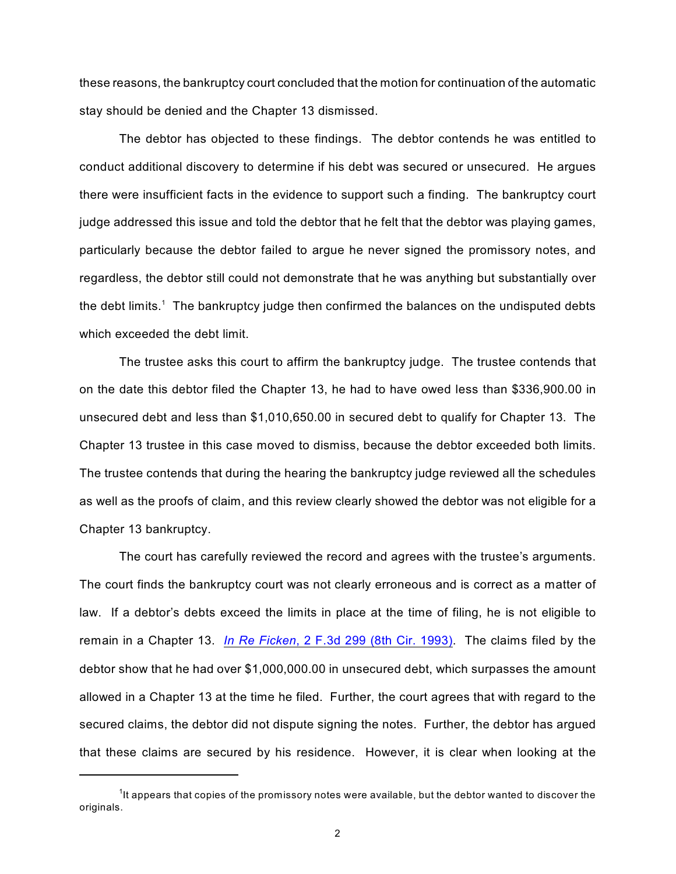these reasons, the bankruptcy court concluded that the motion for continuation of the automatic stay should be denied and the Chapter 13 dismissed.

The debtor has objected to these findings. The debtor contends he was entitled to conduct additional discovery to determine if his debt was secured or unsecured. He argues there were insufficient facts in the evidence to support such a finding. The bankruptcy court judge addressed this issue and told the debtor that he felt that the debtor was playing games, particularly because the debtor failed to argue he never signed the promissory notes, and regardless, the debtor still could not demonstrate that he was anything but substantially over the debt limits.<sup>1</sup> The bankruptcy judge then confirmed the balances on the undisputed debts which exceeded the debt limit.

The trustee asks this court to affirm the bankruptcy judge. The trustee contends that on the date this debtor filed the Chapter 13, he had to have owed less than \$336,900.00 in unsecured debt and less than \$1,010,650.00 in secured debt to qualify for Chapter 13. The Chapter 13 trustee in this case moved to dismiss, because the debtor exceeded both limits. The trustee contends that during the hearing the bankruptcy judge reviewed all the schedules as well as the proofs of claim, and this review clearly showed the debtor was not eligible for a Chapter 13 bankruptcy.

The court has carefully reviewed the record and agrees with the trustee's arguments. The court finds the bankruptcy court was not clearly erroneous and is correct as a matter of law. If a debtor's debts exceed the limits in place at the time of filing, he is not eligible to remain in a Chapter 13. *In Re Ficken*[, 2 F.3d 299 \(8th Cir. 1993\)](http://www.westlaw.com/find/default.wl?rs=CLWP3.0&vr=2.0&cite=2+F.3d+299). The claims filed by the debtor show that he had over \$1,000,000.00 in unsecured debt, which surpasses the amount allowed in a Chapter 13 at the time he filed. Further, the court agrees that with regard to the secured claims, the debtor did not dispute signing the notes. Further, the debtor has argued that these claims are secured by his residence. However, it is clear when looking at the

<sup>&</sup>lt;sup>1</sup>It appears that copies of the promissory notes were available, but the debtor wanted to discover the originals.